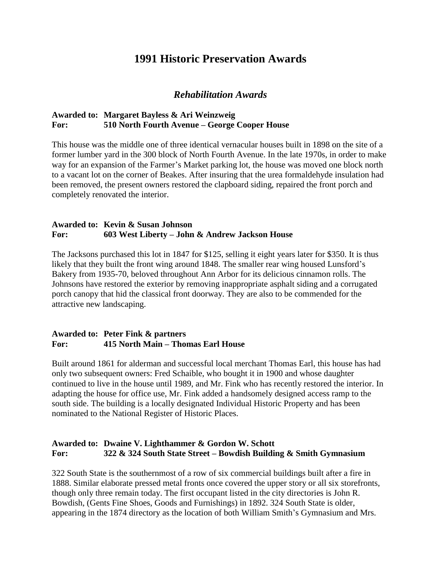# **1991 Historic Preservation Awards**

## *Rehabilitation Awards*

### **Awarded to: Margaret Bayless & Ari Weinzweig For: 510 North Fourth Avenue – George Cooper House**

This house was the middle one of three identical vernacular houses built in 1898 on the site of a former lumber yard in the 300 block of North Fourth Avenue. In the late 1970s, in order to make way for an expansion of the Farmer's Market parking lot, the house was moved one block north to a vacant lot on the corner of Beakes. After insuring that the urea formaldehyde insulation had been removed, the present owners restored the clapboard siding, repaired the front porch and completely renovated the interior.

#### **Awarded to: Kevin & Susan Johnson For: 603 West Liberty – John & Andrew Jackson House**

The Jacksons purchased this lot in 1847 for \$125, selling it eight years later for \$350. It is thus likely that they built the front wing around 1848. The smaller rear wing housed Lunsford's Bakery from 1935-70, beloved throughout Ann Arbor for its delicious cinnamon rolls. The Johnsons have restored the exterior by removing inappropriate asphalt siding and a corrugated porch canopy that hid the classical front doorway. They are also to be commended for the attractive new landscaping.

#### **Awarded to: Peter Fink & partners For: 415 North Main – Thomas Earl House**

Built around 1861 for alderman and successful local merchant Thomas Earl, this house has had only two subsequent owners: Fred Schaible, who bought it in 1900 and whose daughter continued to live in the house until 1989, and Mr. Fink who has recently restored the interior. In adapting the house for office use, Mr. Fink added a handsomely designed access ramp to the south side. The building is a locally designated Individual Historic Property and has been nominated to the National Register of Historic Places.

### **Awarded to: Dwaine V. Lighthammer & Gordon W. Schott For: 322 & 324 South State Street – Bowdish Building & Smith Gymnasium**

322 South State is the southernmost of a row of six commercial buildings built after a fire in 1888. Similar elaborate pressed metal fronts once covered the upper story or all six storefronts, though only three remain today. The first occupant listed in the city directories is John R. Bowdish, (Gents Fine Shoes, Goods and Furnishings) in 1892. 324 South State is older, appearing in the 1874 directory as the location of both William Smith's Gymnasium and Mrs.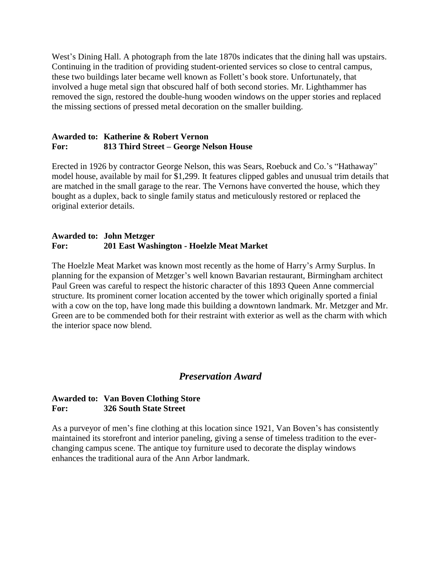West's Dining Hall. A photograph from the late 1870s indicates that the dining hall was upstairs. Continuing in the tradition of providing student-oriented services so close to central campus, these two buildings later became well known as Follett's book store. Unfortunately, that involved a huge metal sign that obscured half of both second stories. Mr. Lighthammer has removed the sign, restored the double-hung wooden windows on the upper stories and replaced the missing sections of pressed metal decoration on the smaller building.

#### **Awarded to: Katherine & Robert Vernon For: 813 Third Street – George Nelson House**

Erected in 1926 by contractor George Nelson, this was Sears, Roebuck and Co.'s "Hathaway" model house, available by mail for \$1,299. It features clipped gables and unusual trim details that are matched in the small garage to the rear. The Vernons have converted the house, which they bought as a duplex, back to single family status and meticulously restored or replaced the original exterior details.

### **Awarded to: John Metzger For: 201 East Washington - Hoelzle Meat Market**

The Hoelzle Meat Market was known most recently as the home of Harry's Army Surplus. In planning for the expansion of Metzger's well known Bavarian restaurant, Birmingham architect Paul Green was careful to respect the historic character of this 1893 Queen Anne commercial structure. Its prominent corner location accented by the tower which originally sported a finial with a cow on the top, have long made this building a downtown landmark. Mr. Metzger and Mr. Green are to be commended both for their restraint with exterior as well as the charm with which the interior space now blend.

## *Preservation Award*

### **Awarded to: Van Boven Clothing Store For: 326 South State Street**

As a purveyor of men's fine clothing at this location since 1921, Van Boven's has consistently maintained its storefront and interior paneling, giving a sense of timeless tradition to the everchanging campus scene. The antique toy furniture used to decorate the display windows enhances the traditional aura of the Ann Arbor landmark.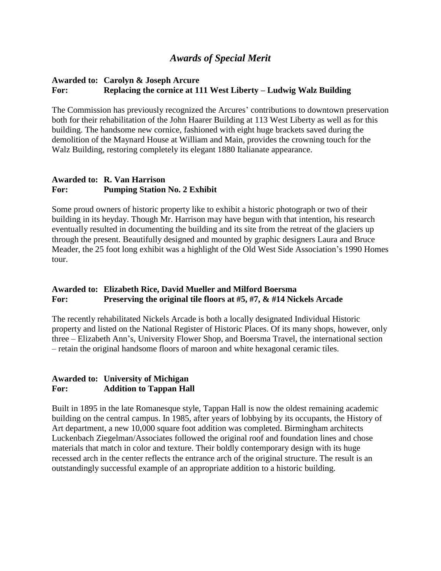## *Awards of Special Merit*

### **Awarded to: Carolyn & Joseph Arcure For: Replacing the cornice at 111 West Liberty – Ludwig Walz Building**

The Commission has previously recognized the Arcures' contributions to downtown preservation both for their rehabilitation of the John Haarer Building at 113 West Liberty as well as for this building. The handsome new cornice, fashioned with eight huge brackets saved during the demolition of the Maynard House at William and Main, provides the crowning touch for the Walz Building, restoring completely its elegant 1880 Italianate appearance.

### **Awarded to: R. Van Harrison For: Pumping Station No. 2 Exhibit**

Some proud owners of historic property like to exhibit a historic photograph or two of their building in its heyday. Though Mr. Harrison may have begun with that intention, his research eventually resulted in documenting the building and its site from the retreat of the glaciers up through the present. Beautifully designed and mounted by graphic designers Laura and Bruce Meader, the 25 foot long exhibit was a highlight of the Old West Side Association's 1990 Homes tour.

### **Awarded to: Elizabeth Rice, David Mueller and Milford Boersma For: Preserving the original tile floors at #5, #7, & #14 Nickels Arcade**

The recently rehabilitated Nickels Arcade is both a locally designated Individual Historic property and listed on the National Register of Historic Places. Of its many shops, however, only three – Elizabeth Ann's, University Flower Shop, and Boersma Travel, the international section – retain the original handsome floors of maroon and white hexagonal ceramic tiles.

#### **Awarded to: University of Michigan For: Addition to Tappan Hall**

Built in 1895 in the late Romanesque style, Tappan Hall is now the oldest remaining academic building on the central campus. In 1985, after years of lobbying by its occupants, the History of Art department, a new 10,000 square foot addition was completed. Birmingham architects Luckenbach Ziegelman/Associates followed the original roof and foundation lines and chose materials that match in color and texture. Their boldly contemporary design with its huge recessed arch in the center reflects the entrance arch of the original structure. The result is an outstandingly successful example of an appropriate addition to a historic building.